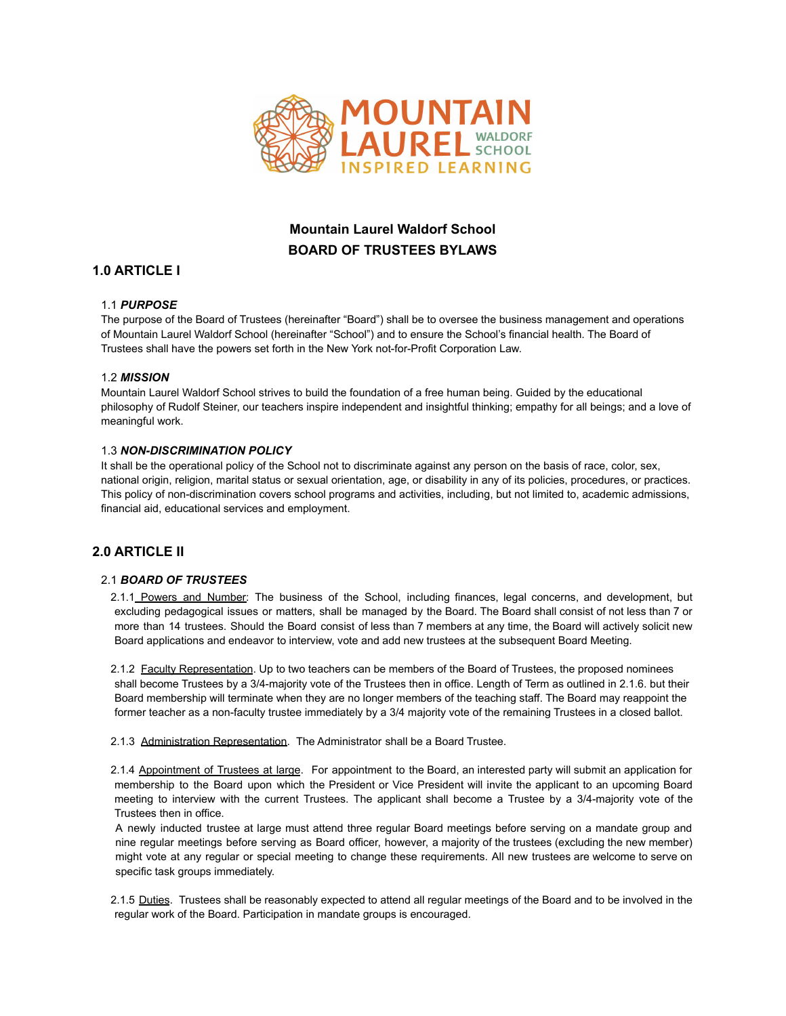

# **Mountain Laurel Waldorf School BOARD OF TRUSTEES BYLAWS**

## **1.0 ARTICLE I**

## 1.1 *PURPOSE*

The purpose of the Board of Trustees (hereinafter "Board") shall be to oversee the business management and operations of Mountain Laurel Waldorf School (hereinafter "School") and to ensure the School's financial health. The Board of Trustees shall have the powers set forth in the New York not-for-Profit Corporation Law.

## 1.2 *MISSION*

Mountain Laurel Waldorf School strives to build the foundation of a free human being. Guided by the educational philosophy of Rudolf Steiner, our teachers inspire independent and insightful thinking; empathy for all beings; and a love of meaningful work.

## 1.3 *NON-DISCRIMINATION POLICY*

It shall be the operational policy of the School not to discriminate against any person on the basis of race, color, sex, national origin, religion, marital status or sexual orientation, age, or disability in any of its policies, procedures, or practices. This policy of non-discrimination covers school programs and activities, including, but not limited to, academic admissions, financial aid, educational services and employment.

## **2.0 ARTICLE II**

## 2.1 *BOARD OF TRUSTEES*

2.1.1 Powers and Number: The business of the School, including finances, legal concerns, and development, but excluding pedagogical issues or matters, shall be managed by the Board. The Board shall consist of not less than 7 or more than 14 trustees. Should the Board consist of less than 7 members at any time, the Board will actively solicit new Board applications and endeavor to interview, vote and add new trustees at the subsequent Board Meeting.

2.1.2 Faculty Representation. Up to two teachers can be members of the Board of Trustees, the proposed nominees shall become Trustees by a 3/4-majority vote of the Trustees then in office. Length of Term as outlined in 2.1.6. but their Board membership will terminate when they are no longer members of the teaching staff. The Board may reappoint the former teacher as a non-faculty trustee immediately by a 3/4 majority vote of the remaining Trustees in a closed ballot.

2.1.3 Administration Representation. The Administrator shall be a Board Trustee.

2.1.4 Appointment of Trustees at large. For appointment to the Board, an interested party will submit an application for membership to the Board upon which the President or Vice President will invite the applicant to an upcoming Board meeting to interview with the current Trustees. The applicant shall become a Trustee by a 3/4-majority vote of the Trustees then in office.

A newly inducted trustee at large must attend three regular Board meetings before serving on a mandate group and nine regular meetings before serving as Board officer, however, a majority of the trustees (excluding the new member) might vote at any regular or special meeting to change these requirements. All new trustees are welcome to serve on specific task groups immediately.

2.1.5 Duties. Trustees shall be reasonably expected to attend all regular meetings of the Board and to be involved in the regular work of the Board. Participation in mandate groups is encouraged.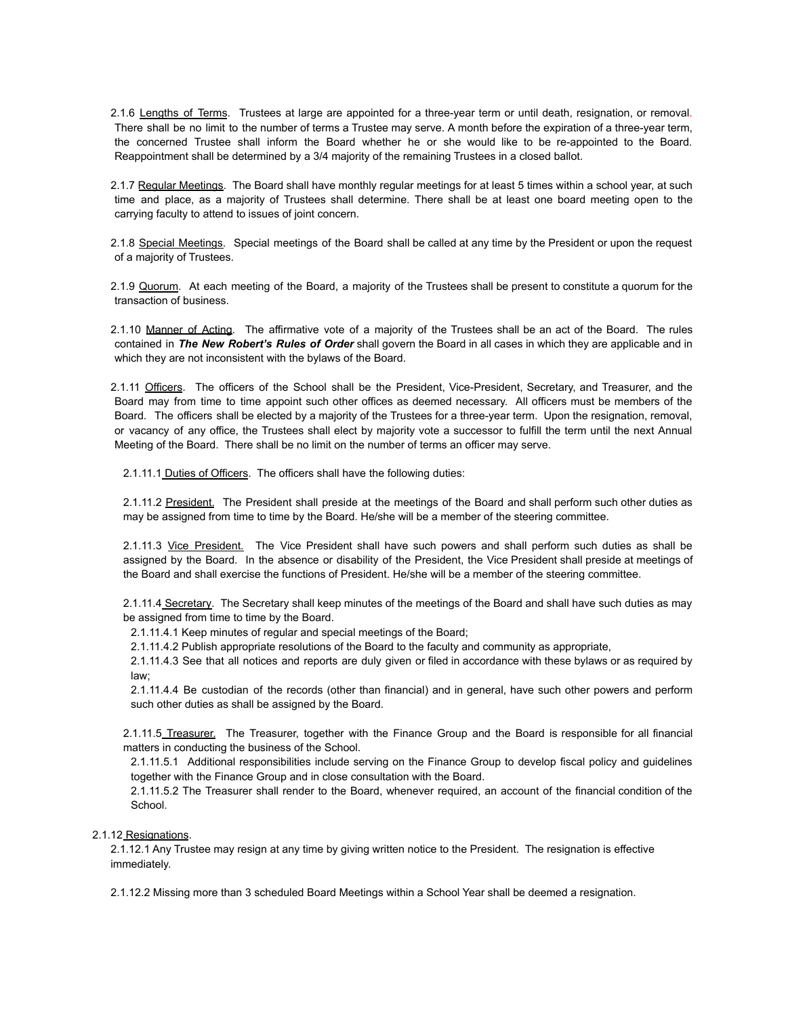2.1.6 Lengths of Terms. Trustees at large are appointed for a three-year term or until death, resignation, or removal. There shall be no limit to the number of terms a Trustee may serve. A month before the expiration of a three-year term, the concerned Trustee shall inform the Board whether he or she would like to be re-appointed to the Board. Reappointment shall be determined by a 3/4 majority of the remaining Trustees in a closed ballot.

2.1.7 Regular Meetings. The Board shall have monthly regular meetings for at least 5 times within a school year, at such time and place, as a majority of Trustees shall determine. There shall be at least one board meeting open to the carrying faculty to attend to issues of joint concern.

2.1.8 Special Meetings. Special meetings of the Board shall be called at any time by the President or upon the request of a majority of Trustees.

2.1.9 Quorum. At each meeting of the Board, a majority of the Trustees shall be present to constitute a quorum for the transaction of business.

2.1.10 Manner of Acting. The affirmative vote of a majority of the Trustees shall be an act of the Board. The rules contained in *The New Robert's Rules of Order* shall govern the Board in all cases in which they are applicable and in which they are not inconsistent with the bylaws of the Board.

2.1.11 Officers. The officers of the School shall be the President, Vice-President, Secretary, and Treasurer, and the Board may from time to time appoint such other offices as deemed necessary. All officers must be members of the Board. The officers shall be elected by a majority of the Trustees for a three-year term. Upon the resignation, removal, or vacancy of any office, the Trustees shall elect by majority vote a successor to fulfill the term until the next Annual Meeting of the Board. There shall be no limit on the number of terms an officer may serve.

2.1.11.1 Duties of Officers. The officers shall have the following duties:

2.1.11.2 President. The President shall preside at the meetings of the Board and shall perform such other duties as may be assigned from time to time by the Board. He/she will be a member of the steering committee.

2.1.11.3 Vice President. The Vice President shall have such powers and shall perform such duties as shall be assigned by the Board. In the absence or disability of the President, the Vice President shall preside at meetings of the Board and shall exercise the functions of President. He/she will be a member of the steering committee.

2.1.11.4 Secretary. The Secretary shall keep minutes of the meetings of the Board and shall have such duties as may be assigned from time to time by the Board.

2.1.11.4.1 Keep minutes of regular and special meetings of the Board;

2.1.11.4.2 Publish appropriate resolutions of the Board to the faculty and community as appropriate,

2.1.11.4.3 See that all notices and reports are duly given or filed in accordance with these bylaws or as required by law;

2.1.11.4.4 Be custodian of the records (other than financial) and in general, have such other powers and perform such other duties as shall be assigned by the Board.

2.1.11.5 Treasurer. The Treasurer, together with the Finance Group and the Board is responsible for all financial matters in conducting the business of the School.

2.1.11.5.1 Additional responsibilities include serving on the Finance Group to develop fiscal policy and guidelines together with the Finance Group and in close consultation with the Board.

2.1.11.5.2 The Treasurer shall render to the Board, whenever required, an account of the financial condition of the School.

#### 2.1.12 Resignations.

2.1.12.1 Any Trustee may resign at any time by giving written notice to the President. The resignation is effective immediately.

2.1.12.2 Missing more than 3 scheduled Board Meetings within a School Year shall be deemed a resignation.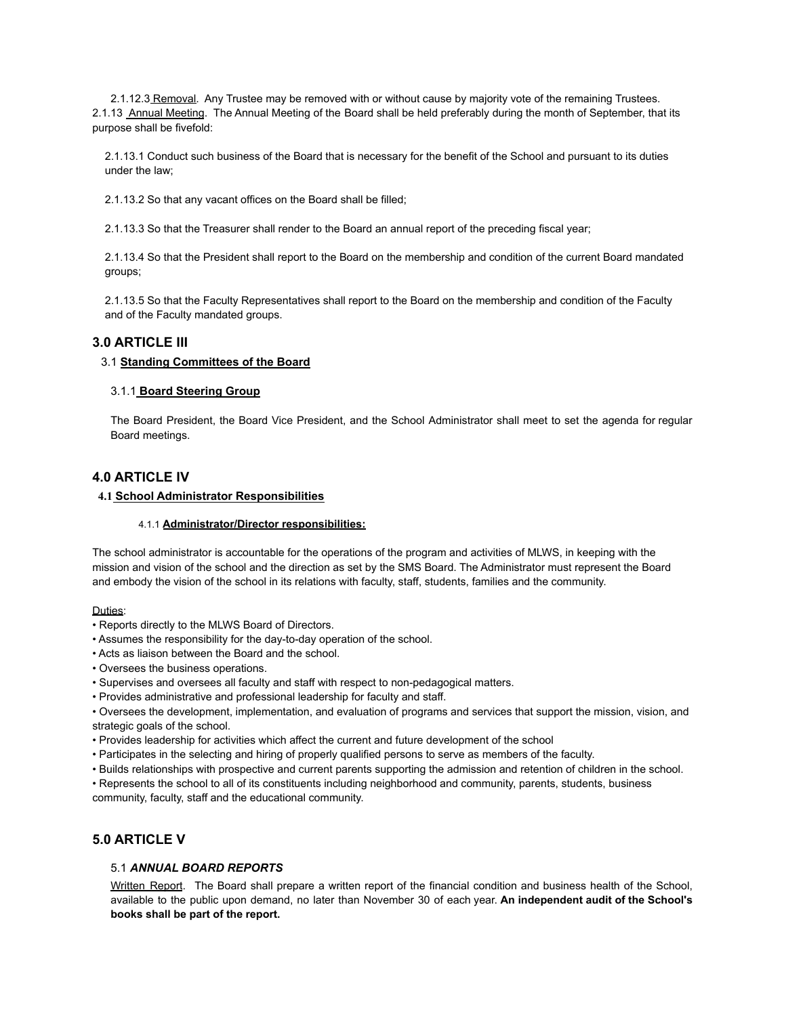2.1.12.3 Removal. Any Trustee may be removed with or without cause by majority vote of the remaining Trustees. 2.1.13 Annual Meeting. The Annual Meeting of the Board shall be held preferably during the month of September, that its purpose shall be fivefold:

2.1.13.1 Conduct such business of the Board that is necessary for the benefit of the School and pursuant to its duties under the law;

2.1.13.2 So that any vacant offices on the Board shall be filled;

2.1.13.3 So that the Treasurer shall render to the Board an annual report of the preceding fiscal year;

2.1.13.4 So that the President shall report to the Board on the membership and condition of the current Board mandated groups;

2.1.13.5 So that the Faculty Representatives shall report to the Board on the membership and condition of the Faculty and of the Faculty mandated groups.

## **3.0 ARTICLE III**

#### 3.1 **Standing Committees of the Board**

#### 3.1.1 **Board Steering Group**

The Board President, the Board Vice President, and the School Administrator shall meet to set the agenda for regular Board meetings.

## **4.0 ARTICLE IV**

#### **4.1 School Administrator Responsibilities**

#### 4.1.1 **Administrator/Director responsibilities:**

The school administrator is accountable for the operations of the program and activities of MLWS, in keeping with the mission and vision of the school and the direction as set by the SMS Board. The Administrator must represent the Board and embody the vision of the school in its relations with faculty, staff, students, families and the community.

Duties:

- Reports directly to the MLWS Board of Directors.
- Assumes the responsibility for the day-to-day operation of the school.
- Acts as liaison between the Board and the school.
- Oversees the business operations.
- Supervises and oversees all faculty and staff with respect to non-pedagogical matters.
- Provides administrative and professional leadership for faculty and staff.

• Oversees the development, implementation, and evaluation of programs and services that support the mission, vision, and strategic goals of the school.

- Provides leadership for activities which affect the current and future development of the school
- Participates in the selecting and hiring of properly qualified persons to serve as members of the faculty.
- Builds relationships with prospective and current parents supporting the admission and retention of children in the school.

• Represents the school to all of its constituents including neighborhood and community, parents, students, business community, faculty, staff and the educational community.

## **5.0 ARTICLE V**

## 5.1 *ANNUAL BOARD REPORTS*

Written Report. The Board shall prepare a written report of the financial condition and business health of the School, available to the public upon demand, no later than November 30 of each year. **An independent audit of the School's books shall be part of the report.**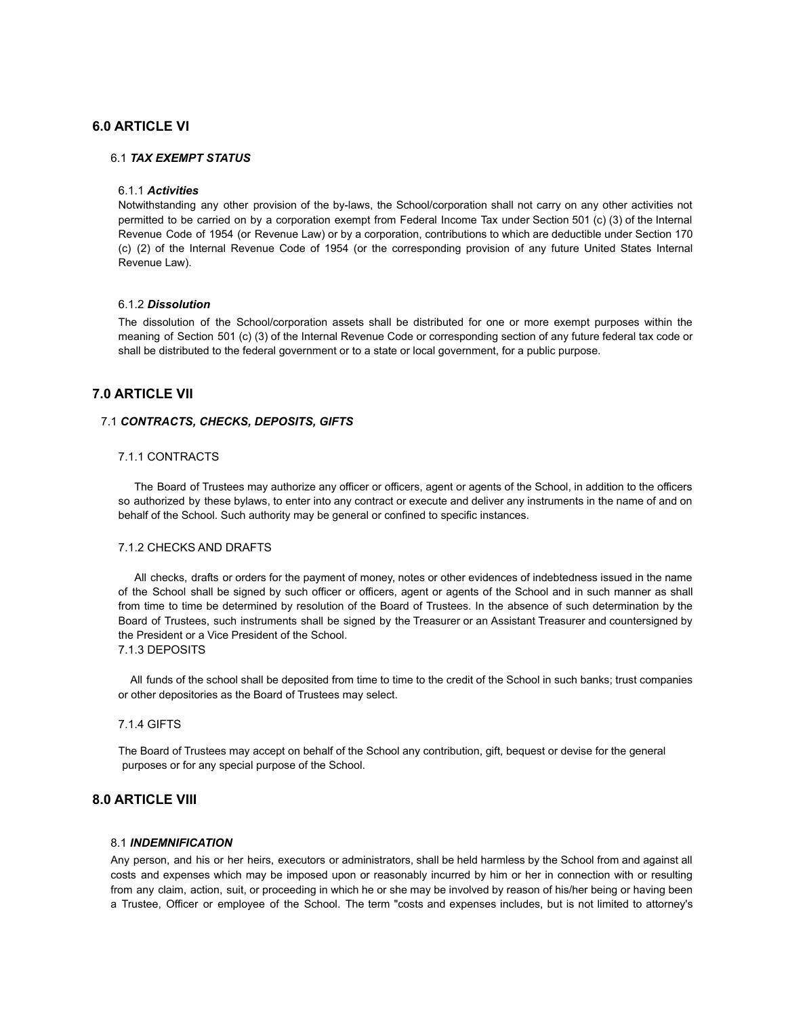## **6.0 ARTICLE VI**

#### 6.1 *TAX EXEMPT STATUS*

#### 6.1.1 *Activities*

Notwithstanding any other provision of the by-laws, the School/corporation shall not carry on any other activities not permitted to be carried on by a corporation exempt from Federal Income Tax under Section 501 (c) (3) of the Internal Revenue Code of 1954 (or Revenue Law) or by a corporation, contributions to which are deductible under Section 170 (c) (2) of the Internal Revenue Code of 1954 (or the corresponding provision of any future United States Internal Revenue Law).

#### 6.1.2 *Dissolution*

The dissolution of the School/corporation assets shall be distributed for one or more exempt purposes within the meaning of Section 501 (c) (3) of the Internal Revenue Code or corresponding section of any future federal tax code or shall be distributed to the federal government or to a state or local government, for a public purpose.

## **7.0 ARTICLE VII**

#### 7.1 *CONTRACTS, CHECKS, DEPOSITS, GIFTS*

#### 7.1.1 CONTRACTS

The Board of Trustees may authorize any officer or officers, agent or agents of the School, in addition to the officers so authorized by these bylaws, to enter into any contract or execute and deliver any instruments in the name of and on behalf of the School. Such authority may be general or confined to specific instances.

## 7.1.2 CHECKS AND DRAFTS

All checks, drafts or orders for the payment of money, notes or other evidences of indebtedness issued in the name of the School shall be signed by such officer or officers, agent or agents of the School and in such manner as shall from time to time be determined by resolution of the Board of Trustees. In the absence of such determination by the Board of Trustees, such instruments shall be signed by the Treasurer or an Assistant Treasurer and countersigned by the President or a Vice President of the School.

### 7.1.3 DEPOSITS

All funds of the school shall be deposited from time to time to the credit of the School in such banks; trust companies or other depositories as the Board of Trustees may select.

#### 7.1.4 GIFTS

The Board of Trustees may accept on behalf of the School any contribution, gift, bequest or devise for the general purposes or for any special purpose of the School.

## **8.0 ARTICLE VIII**

#### 8.1 *INDEMNIFICATION*

Any person, and his or her heirs, executors or administrators, shall be held harmless by the School from and against all costs and expenses which may be imposed upon or reasonably incurred by him or her in connection with or resulting from any claim, action, suit, or proceeding in which he or she may be involved by reason of his/her being or having been a Trustee, Officer or employee of the School. The term "costs and expenses includes, but is not limited to attorney's